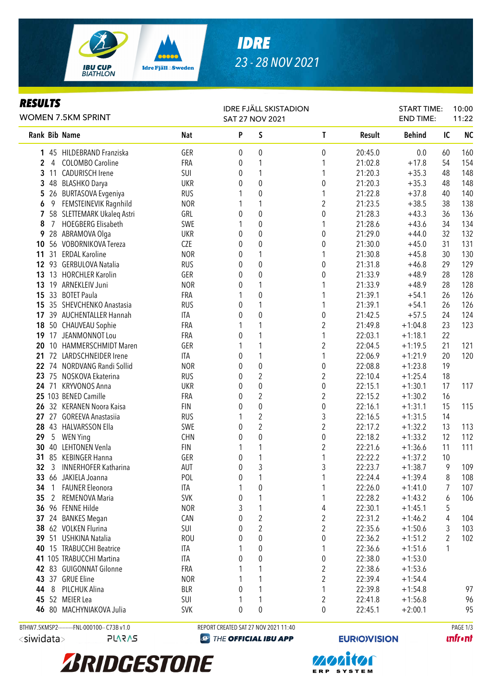

# *IDRE 23 - 28 NOV 2021*

#### *RESULTS*

| nljvli j                                | <b>WOMEN 7.5KM SPRINT</b>                    |            | <b>IDRE FJÄLL SKISTADION</b><br><b>SAT 27 NOV 2021</b> |                                      |                         |               | <b>START TIME:</b><br><b>END TIME:</b> |                | 10:00<br>11:22 |
|-----------------------------------------|----------------------------------------------|------------|--------------------------------------------------------|--------------------------------------|-------------------------|---------------|----------------------------------------|----------------|----------------|
| Rank Bib Name                           |                                              | <b>Nat</b> | P                                                      | S                                    | $\mathsf{T}$            | <b>Result</b> | <b>Behind</b>                          | IC             | <b>NC</b>      |
|                                         | 1 45 HILDEBRAND Franziska                    | GER        | 0                                                      | 0                                    | $\boldsymbol{0}$        | 20:45.0       | 0.0                                    | 60             | 160            |
| 2<br>4                                  | <b>COLOMBO Caroline</b>                      | FRA        | 0                                                      | 1                                    | 1                       | 21:02.8       | $+17.8$                                | 54             | 154            |
| 3                                       | 11 CADURISCH Irene                           | SUI        | 0                                                      | 1                                    | 1                       | 21:20.3       | $+35.3$                                | 48             | 148            |
| 3                                       | 48 BLASHKO Darya                             | <b>UKR</b> | 0                                                      | $\pmb{0}$                            | $\boldsymbol{0}$        | 21:20.3       | $+35.3$                                | 48             | 148            |
| 5                                       | 26 BURTASOVA Evgeniya                        | <b>RUS</b> | 1                                                      | $\pmb{0}$                            | 1                       | 21:22.8       | $+37.8$                                | 40             | 140            |
| 6                                       | 9 FEMSTEINEVIK Ragnhild                      | <b>NOR</b> | 1                                                      | 1                                    | $\overline{2}$          | 21:23.5       | $+38.5$                                | 38             | 138            |
| 7                                       | 58 SLETTEMARK Ukaleq Astri                   | GRL        | 0                                                      | $\pmb{0}$                            | $\boldsymbol{0}$        | 21:28.3       | $+43.3$                                | 36             | 136            |
| $7\overline{ }$<br>8                    | <b>HOEGBERG Elisabeth</b>                    | SWE        | 1                                                      | $\pmb{0}$                            | 1                       | 21:28.6       | $+43.6$                                | 34             | 134            |
| 9                                       | 28 ABRAMOVA Olga                             | <b>UKR</b> | 0                                                      | $\boldsymbol{0}$                     | $\pmb{0}$               | 21:29.0       | $+44.0$                                | 32             | 132            |
| 10                                      | 56 VOBORNIKOVA Tereza                        | CZE        | 0                                                      | $\boldsymbol{0}$                     | $\boldsymbol{0}$        | 21:30.0       | $+45.0$                                | 31             | 131            |
| 11                                      | 31 ERDAL Karoline                            | <b>NOR</b> | 0                                                      | 1                                    | 1                       | 21:30.8       | $+45.8$                                | 30             | 130            |
|                                         | 12 93 GERBULOVA Natalia                      | <b>RUS</b> | 0                                                      | $\boldsymbol{0}$                     | $\boldsymbol{0}$        | 21:31.8       | $+46.8$                                | 29             | 129            |
| 13                                      | 13 HORCHLER Karolin                          | GER        | 0                                                      | $\mathbf{0}$                         | 0                       | 21:33.9       | $+48.9$                                | 28             | 128            |
| 13                                      | 19 ARNEKLEIV Juni                            | <b>NOR</b> | 0                                                      | 1                                    | 1                       | 21:33.9       | $+48.9$                                | 28             | 128            |
| 15                                      | 33 BOTET Paula                               | FRA        | 1                                                      | $\mathbf{0}$                         | 1                       | 21:39.1       | $+54.1$                                | 26             | 126            |
|                                         | 15 35 SHEVCHENKO Anastasia                   | <b>RUS</b> | 0                                                      | 1                                    | 1                       | 21:39.1       | $+54.1$                                | 26             | 126            |
|                                         | 17 39 AUCHENTALLER Hannah                    | ITA        | 0                                                      | $\pmb{0}$                            | $\boldsymbol{0}$        | 21:42.5       | $+57.5$                                | 24             | 124            |
|                                         | 18 50 CHAUVEAU Sophie                        | <b>FRA</b> | 1                                                      | 1                                    | 2                       | 21:49.8       | $+1:04.8$                              | 23             | 123            |
|                                         | 19 17 JEANMONNOT Lou                         | <b>FRA</b> | 0                                                      | 1                                    | 1                       | 22:03.1       | $+1:18.1$                              | 22             |                |
| 20                                      | 10 HAMMERSCHMIDT Maren                       | GER        |                                                        | 1                                    | $\boldsymbol{2}$        | 22:04.5       | $+1:19.5$                              | 21             | 121            |
|                                         | 21 72 LARDSCHNEIDER Irene                    | <b>ITA</b> | 0                                                      | 1                                    | 1                       | 22:06.9       | $+1:21.9$                              | 20             | 120            |
|                                         | 22 74 NORDVANG Randi Sollid                  | <b>NOR</b> | 0                                                      | $\boldsymbol{0}$                     | $\pmb{0}$               | 22:08.8       | $+1:23.8$                              | 19             |                |
|                                         | 23 75 NOSKOVA Ekaterina                      | <b>RUS</b> | 0                                                      | $\overline{2}$                       | $\boldsymbol{2}$        | 22:10.4       | $+1:25.4$                              | 18             |                |
|                                         | 24 71 KRYVONOS Anna                          | <b>UKR</b> | 0                                                      | 0                                    | $\boldsymbol{0}$        | 22:15.1       | $+1:30.1$                              | 17             | 117            |
|                                         | 25 103 BENED Camille                         | FRA        | 0                                                      | $\overline{\mathbf{c}}$              | $\boldsymbol{2}$        | 22:15.2       | $+1:30.2$                              | 16             |                |
|                                         | 26 32 KERANEN Noora Kaisa                    | <b>FIN</b> | 0                                                      | $\pmb{0}$                            | $\boldsymbol{0}$        | 22:16.1       | $+1:31.1$                              | 15             | 115            |
|                                         | 27 27 GOREEVA Anastasiia                     | <b>RUS</b> | 1                                                      | $\boldsymbol{2}$                     | 3                       | 22:16.5       | $+1:31.5$                              | 14             |                |
|                                         | 28 43 HALVARSSON Ella                        | SWE        | 0                                                      | $\overline{c}$                       | $\overline{c}$          | 22:17.2       | $+1:32.2$                              | 13             | 113            |
| 29<br>$5\overline{)}$                   | <b>WEN Ying</b>                              | <b>CHN</b> | 0                                                      | $\pmb{0}$                            | $\pmb{0}$               | 22:18.2       | $+1:33.2$                              | 12             | 112            |
|                                         | 30 40 LEHTONEN Venla                         | <b>FIN</b> | 1                                                      | 1                                    | $\overline{\mathbf{c}}$ | 22:21.6       | $+1:36.6$                              | 11             | 111            |
|                                         | 31 85 KEBINGER Hanna                         | GER        | 0                                                      | 1                                    | 1                       | 22:22.2       | $+1:37.2$                              | 10             |                |
| 32                                      | 3 INNERHOFER Katharina                       | AUT        | 0                                                      | 3                                    | 3                       | 22:23.7       | $+1:38.7$                              | 9              | 109            |
| 33 <sup>2</sup>                         | 66 JAKIELA Joanna                            | POL        | $\pmb{0}$                                              | $\overline{ }$                       | $\overline{ }$          | 22:24.4       | $+1:39.4$                              | 8              | 108            |
| 34<br>-1                                | <b>FAUNER Eleonora</b>                       | ITA        | 1                                                      | 0                                    |                         | 22:26.0       | $+1:41.0$                              | 7              | 107            |
| 35<br>2                                 | REMENOVA Maria                               | <b>SVK</b> | 0                                                      | 1                                    | 1                       | 22:28.2       | $+1:43.2$                              | 6              | 106            |
|                                         | 36 96 FENNE Hilde                            | <b>NOR</b> | 3                                                      | 1                                    | 4                       | 22:30.1       | $+1:45.1$                              | 5              |                |
|                                         | 37 24 BANKES Megan                           | CAN        | 0                                                      | $\overline{\mathbf{c}}$              | $\overline{c}$          | 22:31.2       | $+1:46.2$                              | 4              | 104            |
|                                         | 38 62 VOLKEN Flurina                         | SUI        | 0                                                      | $\overline{c}$                       | $\overline{c}$          | 22:35.6       | $+1:50.6$                              | 3              | 103            |
|                                         | 39 51 USHKINA Natalia                        | <b>ROU</b> | 0                                                      | 0                                    | $\boldsymbol{0}$        | 22:36.2       | $+1:51.2$                              | $\overline{2}$ | 102            |
| 40                                      | 15 TRABUCCHI Beatrice                        | <b>ITA</b> |                                                        | 0                                    | 1                       | 22:36.6       | $+1:51.6$                              | 1              |                |
|                                         | 41 105 TRABUCCHI Martina                     | ITA        | 0                                                      | 0                                    | 0                       | 22:38.0       | $+1:53.0$                              |                |                |
|                                         | 42 83 GUIGONNAT Gilonne                      | <b>FRA</b> |                                                        | 1                                    | 2                       | 22:38.6       | $+1:53.6$                              |                |                |
|                                         | 43 37 GRUE Eline                             | <b>NOR</b> |                                                        | 1                                    | 2                       | 22:39.4       | $+1:54.4$                              |                |                |
| 44<br>8                                 | PILCHUK Alina                                | <b>BLR</b> | 0                                                      | 1                                    | 1                       | 22:39.8       | $+1:54.8$                              |                | 97             |
|                                         | 45 52 MEIER Lea                              | SUI        | 1                                                      | 1                                    | 2                       | 22:41.8       | $+1:56.8$                              |                | 96             |
|                                         | 46 80 MACHYNIAKOVA Julia                     | <b>SVK</b> | 0                                                      | 0                                    | 0                       | 22:45.1       | $+2:00.1$                              |                | 95             |
|                                         |                                              |            |                                                        |                                      |                         |               |                                        |                |                |
|                                         | BTHW7.5KMSP2----------FNL-000100-- C73B v1.0 |            |                                                        | REPORT CREATED SAT 27 NOV 2021 11:40 |                         |               |                                        |                | PAGE 1/3       |
| <siwidata><br/><b>SV2V7L</b></siwidata> |                                              | $\bigcirc$ |                                                        | THE OFFICIAL IBU APP                 | <b>EURIO)VISION</b>     |               |                                        | <b>unfront</b> |                |
|                                         |                                              |            |                                                        |                                      |                         |               |                                        |                |                |



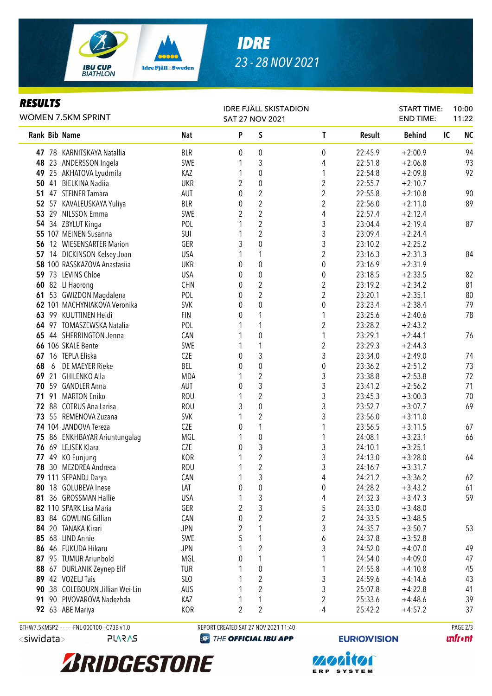

# *IDRE 23 - 28 NOV 2021*

#### *RESULTS*

| nljvli j<br><b>WOMEN 7.5KM SPRINT</b>       |            | <b>IDRE FJÄLL SKISTADION</b><br><b>SAT 27 NOV 2021</b> |                                      |                         |         | <b>START TIME:</b><br><b>END TIME:</b> | 10:00<br>11:22  |
|---------------------------------------------|------------|--------------------------------------------------------|--------------------------------------|-------------------------|---------|----------------------------------------|-----------------|
| Rank Bib Name                               | Nat        | P                                                      | S                                    | $\mathsf{T}$            | Result  | <b>Behind</b>                          | <b>NC</b><br>IC |
| 47 78 KARNITSKAYA Natallia                  | <b>BLR</b> | 0                                                      | 0                                    | 0                       | 22:45.9 | $+2:00.9$                              | 94              |
| 48 23 ANDERSSON Ingela                      | SWE        | 1                                                      | $\mathfrak{Z}$                       | 4                       | 22:51.8 | $+2:06.8$                              | 93              |
| 49 25 AKHATOVA Lyudmila                     | KAZ        | 1                                                      | $\boldsymbol{0}$                     | 1                       | 22:54.8 | $+2:09.8$                              | 92              |
| 50 41 BIELKINA Nadiia                       | <b>UKR</b> | 2                                                      | $\boldsymbol{0}$                     | 2                       | 22:55.7 | $+2:10.7$                              |                 |
| 51 47 STEINER Tamara                        | AUT        | 0                                                      | $\overline{c}$                       | $\overline{2}$          | 22:55.8 | $+2:10.8$                              | 90              |
| 52 57 KAVALEUSKAYA Yuliya                   | <b>BLR</b> | $\pmb{0}$                                              | $\overline{2}$                       | $\overline{\mathbf{c}}$ | 22:56.0 | $+2:11.0$                              | 89              |
| 53 29 NILSSON Emma                          | SWE        | $\overline{2}$                                         | $\overline{2}$                       | 4                       | 22:57.4 | $+2:12.4$                              |                 |
| 54 34 ZBYLUT Kinga                          | POL        | 1                                                      | $\overline{2}$                       | $\sqrt{3}$              | 23:04.4 | $+2:19.4$                              | 87              |
| 55 107 MEINEN Susanna                       | SUI        | 1                                                      | $\sqrt{2}$                           | 3                       | 23:09.4 | $+2:24.4$                              |                 |
| 56 12 WIESENSARTER Marion                   | GER        | 3                                                      | $\pmb{0}$                            | 3                       | 23:10.2 | $+2:25.2$                              |                 |
| 57 14 DICKINSON Kelsey Joan                 | <b>USA</b> | 1                                                      | $\mathbf{1}$                         | $\overline{c}$          | 23:16.3 | $+2:31.3$                              | 84              |
| 58 100 RASSKAZOVA Anastasiia                | <b>UKR</b> | 0                                                      | $\boldsymbol{0}$                     | $\pmb{0}$               | 23:16.9 | $+2:31.9$                              |                 |
| 59 73 LEVINS Chloe                          | <b>USA</b> | 0                                                      | $\boldsymbol{0}$                     | 0                       | 23:18.5 | $+2:33.5$                              | 82              |
| 60 82 Ll Haorong                            | <b>CHN</b> | 0                                                      | $\overline{c}$                       | $\overline{2}$          | 23:19.2 | $+2:34.2$                              | 81              |
| 53 GWIZDON Magdalena<br>61                  | POL        | 0                                                      | $\overline{2}$                       | $\overline{2}$          | 23:20.1 | $+2:35.1$                              | 80              |
| 62 101 MACHYNIAKOVA Veronika                | <b>SVK</b> | 0                                                      | $\mathbf 0$                          | $\pmb{0}$               | 23:23.4 | $+2:38.4$                              | 79              |
| 63 99 KUUTTINEN Heidi                       | <b>FIN</b> | 0                                                      | 1                                    | 1                       | 23:25.6 | $+2:40.6$                              | 78              |
| 64 97 TOMASZEWSKA Natalia                   | POL        | 1                                                      | 1                                    | 2                       | 23:28.2 | $+2:43.2$                              |                 |
| 65 44 SHERRINGTON Jenna                     | CAN        |                                                        | $\boldsymbol{0}$                     | 1                       | 23:29.1 | $+2:44.1$                              | 76              |
| 66 106 SKALE Bente                          | SWE        |                                                        | 1                                    | 2                       | 23:29.3 | $+2:44.3$                              |                 |
| 67 16 TEPLA Eliska                          | CZE        | 0                                                      | 3                                    | 3                       | 23:34.0 | $+2:49.0$                              | 74              |
| DE MAEYER Rieke<br>68<br>6                  | BEL        | 0                                                      | $\pmb{0}$                            | 0                       | 23:36.2 | $+2:51.2$                              | 73              |
| 69 21 GHILENKO Alla                         | <b>MDA</b> | 1                                                      | $\sqrt{2}$                           | 3                       | 23:38.8 | $+2:53.8$                              | 72              |
| 59 GANDLER Anna<br>70                       | AUT        | 0                                                      | 3                                    | 3                       | 23:41.2 | $+2:56.2$                              | 71              |
| 91 MARTON Eniko<br>71                       | <b>ROU</b> | 1                                                      | $\sqrt{2}$                           | 3                       | 23:45.3 | $+3:00.3$                              | 70              |
| 72 88 COTRUS Ana Larisa                     | <b>ROU</b> | 3                                                      | $\pmb{0}$                            | $\sqrt{3}$              | 23:52.7 | $+3:07.7$                              | 69              |
| 73 55 REMENOVA Zuzana                       | <b>SVK</b> | 1                                                      | $\boldsymbol{2}$                     | 3                       | 23:56.0 | $+3:11.0$                              |                 |
| 74 104 JANDOVA Tereza                       | CZE        | 0                                                      | $\mathbf{1}$                         | 1                       | 23:56.5 | $+3:11.5$                              | 67              |
| 75 86 ENKHBAYAR Ariuntungalag               | MGL        | 1                                                      | $\boldsymbol{0}$                     | 1                       | 24:08.1 | $+3:23.1$                              | 66              |
| 76 69 LEJSEK Klara                          | <b>CZE</b> | 0                                                      | $\sqrt{3}$                           | $\sqrt{3}$              | 24:10.1 | $+3:25.1$                              |                 |
| 77 49 KO Eunjung                            | <b>KOR</b> | 1                                                      | $\sqrt{2}$                           | $\sqrt{3}$              | 24:13.0 | $+3:28.0$                              | 64              |
| 78 30 MEZDREA Andreea                       | <b>ROU</b> | 1                                                      | $\overline{2}$                       | $\mathfrak{Z}$          | 24:16.7 | $+3:31.7$                              |                 |
| 79 111 SEPANDJ Darya                        | CAN        |                                                        | 3                                    | 4                       | 24:21.2 | $+3:36.2$                              | 62              |
| 80 18 GOLUBEVA Inese                        | LAT        | 0                                                      | 0                                    | 0                       | 24:28.2 | $+3:43.2$                              | 61              |
| 36 GROSSMAN Hallie<br>81                    | <b>USA</b> | 1                                                      | 3                                    | 4                       | 24:32.3 | $+3:47.3$                              | 59              |
| 82 110 SPARK Lisa Maria                     | GER        | $\overline{2}$                                         | $\mathfrak{Z}$                       | 5                       | 24:33.0 | $+3:48.0$                              |                 |
| 83 84 GOWLING Gillian                       | CAN        | 0                                                      | $\overline{2}$                       | $\overline{\mathbf{c}}$ | 24:33.5 | $+3:48.5$                              |                 |
| 84<br>20 TANAKA Kirari                      | <b>JPN</b> | 2                                                      | 1                                    | 3                       | 24:35.7 | $+3:50.7$                              | 53              |
| 68 LIND Annie<br>85                         | SWE        | 5                                                      | 1                                    | 6                       | 24:37.8 | $+3:52.8$                              |                 |
| 86 46 FUKUDA Hikaru                         | <b>JPN</b> |                                                        | $\overline{c}$                       | 3                       | 24:52.0 | $+4:07.0$                              | 49              |
| 87 95 TUMUR Ariunbold                       | MGL        | 0                                                      | 1                                    | 1                       | 24:54.0 | $+4:09.0$                              | 47              |
| 88 67 DURLANIK Zeynep Elif                  | <b>TUR</b> |                                                        | 0                                    | 1                       | 24:55.8 | $+4:10.8$                              | 45              |
| 89 42 VOZELJ Tais                           | SLO        |                                                        | $\overline{2}$                       | 3                       | 24:59.6 | $+4:14.6$                              | 43              |
| 38 COLEBOURN Jillian Wei-Lin<br>90          | AUS        | 1                                                      | $\overline{2}$                       | 3                       | 25:07.8 | $+4:22.8$                              | 41              |
| 90 PIVOVAROVA Nadezhda<br>91                | KAZ        | 1                                                      | 1                                    | 2                       | 25:33.6 | $+4:48.6$                              | 39              |
| 92 63 ABE Mariya                            | <b>KOR</b> | 2                                                      | $\overline{2}$                       | 4                       | 25:42.2 | $+4:57.2$                              | 37              |
| BTHW7.5KMSP2---------FNL-000100-- C73B v1.0 |            |                                                        | REPORT CREATED SAT 27 NOV 2021 11:40 |                         |         |                                        | PAGE 2/3        |
| <siwidata><br/><b>PLARAS</b></siwidata>     |            |                                                        | <b>@ THE OFFICIAL IBU APP</b>        | <b>EURIO)VISION</b>     |         |                                        | <b>unfr</b> •nt |